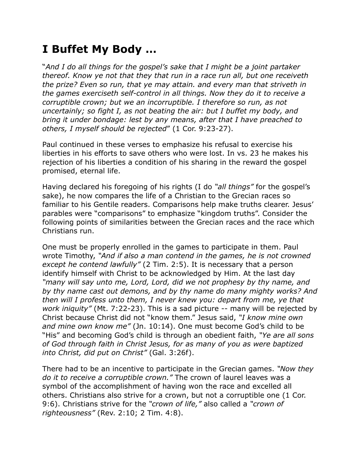## **I Buffet My Body …**

"*And I do all things for the gospel's sake that I might be a joint partaker thereof. Know ye not that they that run in a race run all, but one receiveth the prize? Even so run, that ye may attain. and every man that striveth in the games exerciseth self-control in all things. Now they do it to receive a corruptible crown; but we an incorruptible. I therefore so run, as not uncertainly; so fight I, as not beating the air: but I buffet my body, and bring it under bondage: lest by any means, after that I have preached to others, I myself should be rejected*" (1 Cor. 9:23-27).

Paul continued in these verses to emphasize his refusal to exercise his liberties in his efforts to save others who were lost. In vs. 23 he makes his rejection of his liberties a condition of his sharing in the reward the gospel promised, eternal life.

Having declared his foregoing of his rights (I do *"all things"* for the gospel's sake), he now compares the life of a Christian to the Grecian races so familiar to his Gentile readers. Comparisons help make truths clearer. Jesus' parables were "comparisons" to emphasize "kingdom truths". Consider the following points of similarities between the Grecian races and the race which Christians run.

One must be properly enrolled in the games to participate in them. Paul wrote Timothy, *"And if also a man contend in the games, he is not crowned except he contend lawfully"* (2 Tim. 2:5). It is necessary that a person identify himself with Christ to be acknowledged by Him. At the last day *"many will say unto me, Lord, Lord, did we not prophesy by thy name, and by thy name cast out demons, and by thy name do many mighty works? And then will I profess unto them, I never knew you: depart from me, ye that work iniquity"* (Mt. 7:22-23). This is a sad picture -- many will be rejected by Christ because Christ did not "know them." Jesus said, *"I know mine own and mine own know me"* (Jn. 10:14). One must become God's child to be "His" and becoming God's child is through an obedient faith, *"Ye are all sons of God through faith in Christ Jesus, for as many of you as were baptized into Christ, did put on Christ"* (Gal. 3:26f).

There had to be an incentive to participate in the Grecian games. *"Now they do it to receive a corruptible crown."* The crown of laurel leaves was a symbol of the accomplishment of having won the race and excelled all others. Christians also strive for a crown, but not a corruptible one (1 Cor. 9:6). Christians strive for the *"crown of life,"* also called a *"crown of righteousness"* (Rev. 2:10; 2 Tim. 4:8).